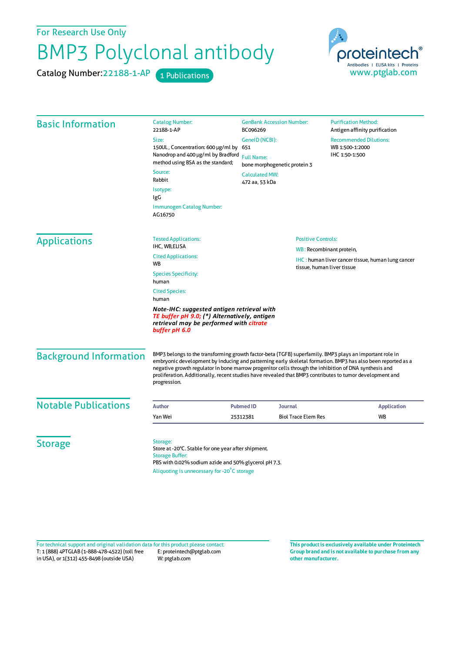For Research Use Only

## BMP3 Polyclonal antibody

Catalog Number: 22188-1-AP 1 Publications



| <b>Basic Information</b>                                               | <b>Catalog Number:</b><br>22188-1-AP                                                                                                                                                                                                                                                                                                                                                                                                                        | <b>GenBank Accession Number:</b><br>BC096269                                            |                            | <b>Purification Method:</b><br>Antigen affinity purification                                                                                           |                     |
|------------------------------------------------------------------------|-------------------------------------------------------------------------------------------------------------------------------------------------------------------------------------------------------------------------------------------------------------------------------------------------------------------------------------------------------------------------------------------------------------------------------------------------------------|-----------------------------------------------------------------------------------------|----------------------------|--------------------------------------------------------------------------------------------------------------------------------------------------------|---------------------|
|                                                                        | Size:<br>GenelD (NCBI):                                                                                                                                                                                                                                                                                                                                                                                                                                     |                                                                                         |                            | <b>Recommended Dilutions:</b><br>WB 1:500-1:2000<br>IHC 1:50-1:500                                                                                     |                     |
|                                                                        | 150UL, Concentration: 600 µg/ml by 651                                                                                                                                                                                                                                                                                                                                                                                                                      | <b>Full Name:</b>                                                                       |                            |                                                                                                                                                        |                     |
|                                                                        | Nanodrop and 400 µg/ml by Bradford<br>method using BSA as the standard;                                                                                                                                                                                                                                                                                                                                                                                     |                                                                                         |                            |                                                                                                                                                        |                     |
|                                                                        | Source:                                                                                                                                                                                                                                                                                                                                                                                                                                                     | bone morphogenetic protein 3                                                            |                            |                                                                                                                                                        |                     |
|                                                                        | Rabbit                                                                                                                                                                                                                                                                                                                                                                                                                                                      | <b>Calculated MW:</b><br>472 aa, 53 kDa                                                 |                            |                                                                                                                                                        |                     |
|                                                                        | Isotype:                                                                                                                                                                                                                                                                                                                                                                                                                                                    |                                                                                         |                            |                                                                                                                                                        |                     |
|                                                                        | IgG<br><b>Immunogen Catalog Number:</b><br>AG16750                                                                                                                                                                                                                                                                                                                                                                                                          |                                                                                         |                            |                                                                                                                                                        |                     |
|                                                                        |                                                                                                                                                                                                                                                                                                                                                                                                                                                             |                                                                                         |                            |                                                                                                                                                        | <b>Applications</b> |
| IHC, WB,ELISA                                                          |                                                                                                                                                                                                                                                                                                                                                                                                                                                             | WB: Recombinant protein,                                                                |                            |                                                                                                                                                        |                     |
| <b>Cited Applications:</b><br>WB                                       |                                                                                                                                                                                                                                                                                                                                                                                                                                                             | <b>IHC</b> : human liver cancer tissue, human lung cancer<br>tissue, human liver tissue |                            |                                                                                                                                                        |                     |
| <b>Species Specificity:</b><br>human<br><b>Cited Species:</b><br>human |                                                                                                                                                                                                                                                                                                                                                                                                                                                             |                                                                                         |                            |                                                                                                                                                        |                     |
|                                                                        |                                                                                                                                                                                                                                                                                                                                                                                                                                                             |                                                                                         |                            | Note-IHC: suggested antigen retrieval with<br>TE buffer pH 9.0; (*) Alternatively, antigen<br>retrieval may be performed with citrate<br>buffer pH 6.0 |                     |
| <b>Background Information</b>                                          | BMP3 belongs to the transforming growth factor-beta (TGFB) superfamily. BMP3 plays an important role in<br>embryonic development by inducing and patterning early skeletal formation. BMP3 has also been reported as a<br>negative growth regulator in bone marrow progenitor cells through the inhibition of DNA synthesis and<br>proliferation. Additionally, recent studies have revealed that BMP3 contributes to tumor development and<br>progression. |                                                                                         |                            |                                                                                                                                                        |                     |
| <b>Notable Publications</b>                                            | <b>Author</b>                                                                                                                                                                                                                                                                                                                                                                                                                                               | <b>Pubmed ID</b><br>Journal                                                             |                            | <b>Application</b>                                                                                                                                     |                     |
|                                                                        | Yan Wei                                                                                                                                                                                                                                                                                                                                                                                                                                                     | 25312381                                                                                | <b>Biol Trace Elem Res</b> | <b>WB</b>                                                                                                                                              |                     |
| <b>Storage</b>                                                         | Storage:<br>Store at -20°C. Stable for one year after shipment.<br><b>Storage Buffer:</b><br>PBS with 0.02% sodium azide and 50% glycerol pH 7.3.<br>Aliquoting is unnecessary for -20°C storage                                                                                                                                                                                                                                                            |                                                                                         |                            |                                                                                                                                                        |                     |

T: 1 (888) 4PTGLAB (1-888-478-4522) (toll free in USA), or 1(312) 455-8498 (outside USA) E: proteintech@ptglab.com W: ptglab.com Fortechnical support and original validation data forthis product please contact: **This productis exclusively available under Proteintech**

**Group brand and is not available to purchase from any other manufacturer.**